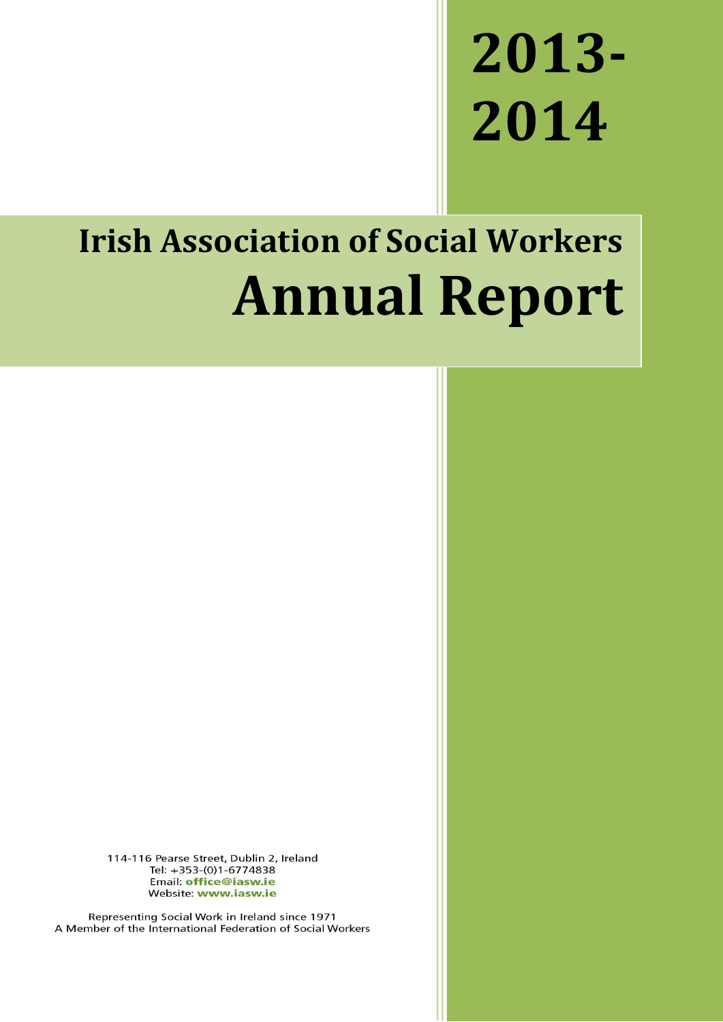# **2013- 2014**

## **Irish Association of Social Workers Annual Report**

114-116 Pearse Street, Dublin 2, Ireland Tel: +353-(0)1-6774838 Email: office@iasw.ie Website: www.iasw.ie

Representing Social Work in Ireland since 1971 A Member of the International Federation of Social Workers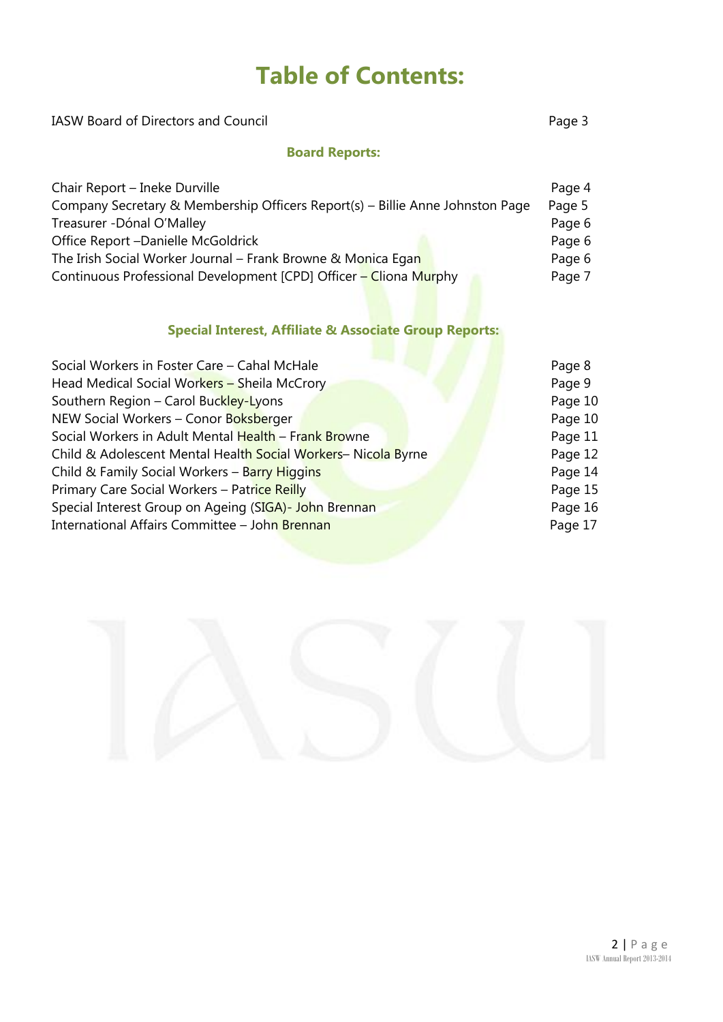## **Table of Contents:**

| <b>IASW Board of Directors and Council</b>                                    | Page 3 |
|-------------------------------------------------------------------------------|--------|
| <b>Board Reports:</b>                                                         |        |
| Chair Report – Ineke Durville                                                 | Page 4 |
| Company Secretary & Membership Officers Report(s) – Billie Anne Johnston Page | Page 5 |
| Treasurer -Dónal O'Malley                                                     | Page 6 |
| Office Report -Danielle McGoldrick                                            | Page 6 |
|                                                                               |        |

The Irish Social Worker Journal – Frank Browne & Monica Egan Page 6 Continuous Professional Development [CPD] Officer - Cliona Murphy Page 7

#### **Special Interest, Affiliate & Associate Group Reports:**

| Social Workers in Foster Care - Cahal McHale                 | Page 8  |
|--------------------------------------------------------------|---------|
| Head Medical Social Workers - Sheila McCrory                 | Page 9  |
| Southern Region - Carol Buckley-Lyons                        | Page 10 |
| NEW Social Workers - Conor Boksberger                        | Page 10 |
| Social Workers in Adult Mental Health - Frank Browne         | Page 11 |
| Child & Adolescent Mental Health Social Workers-Nicola Byrne | Page 12 |
| Child & Family Social Workers - Barry Higgins                | Page 14 |
| Primary Care Social Workers - Patrice Reilly                 | Page 15 |
| Special Interest Group on Ageing (SIGA)- John Brennan        | Page 16 |
| International Affairs Committee - John Brennan               | Page 17 |
|                                                              |         |

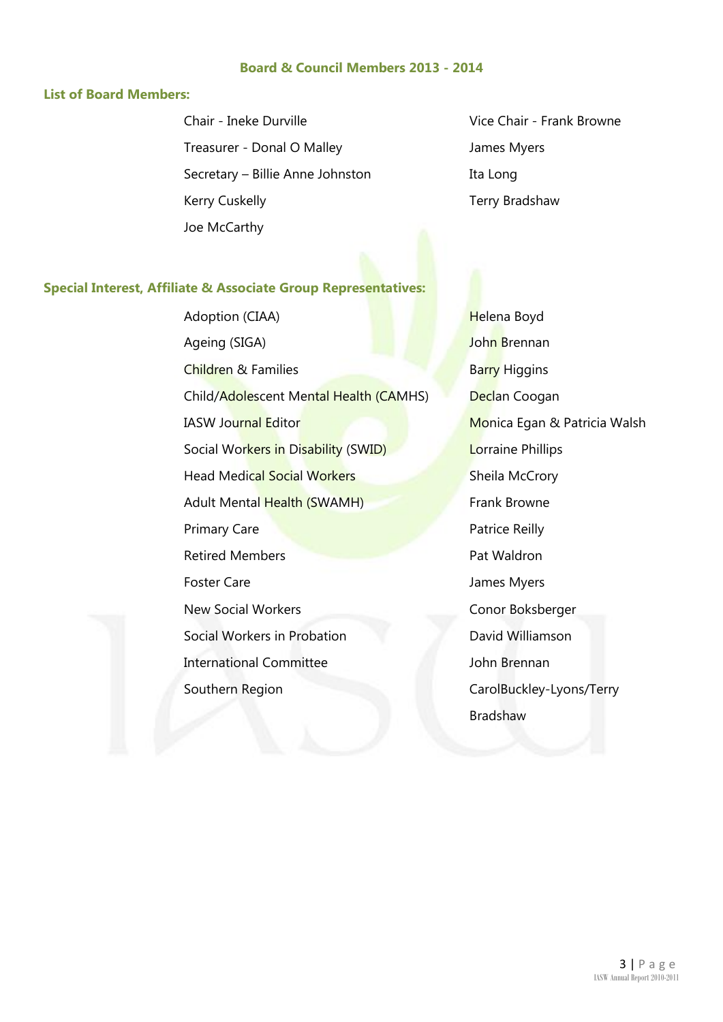#### **Board & Council Members 2013 - 2014**

#### **List of Board Members:**

Chair - Ineke Durville Treasurer - Donal O Malley Secretary – Billie Anne Johnston Kerry Cuskelly Joe McCarthy

Vice Chair - Frank Browne James Myers Ita Long Terry Bradshaw

#### **Special Interest, Affiliate & Associate Group Representatives:**

Adoption (CIAA) Ageing (SIGA) Children & Families Barry Higgins Child/Adolescent Mental Health (CAMHS) Declan Coogan IASW Journal Editor Monica Egan & Patricia Walsh Social Workers in Disability (SWID) Lorraine Phillips Head Medical Social Workers Sheila McCrory Adult Mental Health (SWAMH) Frank Browne Primary Care **Patrice Reilly Patrice Reilly Retired Members Pat Waldron** Foster Care **Internal Care** James Myers New Social Workers **Conor Boksberger** Social Workers in Probation International Committee Southern Region

Helena Boyd John Brennan David Williamson John Brennan CarolBuckley-Lyons/Terry Bradshaw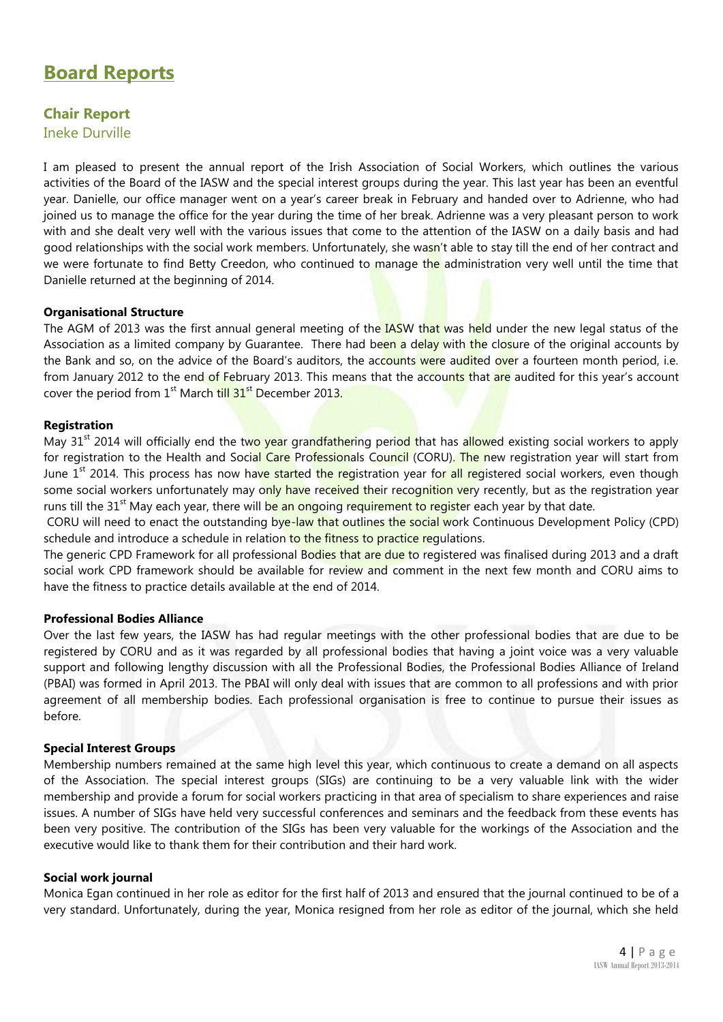## **Board Reports**

## **Chair Report**

Ineke Durville

I am pleased to present the annual report of the Irish Association of Social Workers, which outlines the various activities of the Board of the IASW and the special interest groups during the year. This last year has been an eventful year. Danielle, our office manager went on a year's career break in February and handed over to Adrienne, who had joined us to manage the office for the year during the time of her break. Adrienne was a very pleasant person to work with and she dealt very well with the various issues that come to the attention of the IASW on a daily basis and had good relationships with the social work members. Unfortunately, she wasn't able to stay till the end of her contract and we were fortunate to find Betty Creedon, who continued to manage the administration very well until the time that Danielle returned at the beginning of 2014.

#### **Organisational Structure**

The AGM of 2013 was the first annual general meeting of the IASW that was held under the new legal status of the Association as a limited company by Guarantee. There had been a delay with the closure of the original accounts by the Bank and so, on the advice of the Board's auditors, the accounts were audited over a fourteen month period, i.e. from January 2012 to the end of February 2013. This means that the accounts that are audited for this year's account cover the period from  $1<sup>st</sup>$  March till  $31<sup>st</sup>$  December 2013.

#### **Registration**

May 31<sup>st</sup> 2014 will officially end the two year grandfathering period that has allowed existing social workers to apply for registration to the Health and Social Care Professionals Council (CORU). The new registration year will start from June 1<sup>st</sup> 2014. This process has now have started the registration year for all registered social workers, even though some social workers unfortunately may only have received their recognition very recently, but as the registration year runs till the 31<sup>st</sup> May each year, there will be an ongoing requirement to register each year by that date.

CORU will need to enact the outstanding bye-law that outlines the social work Continuous Development Policy (CPD) schedule and introduce a schedule in relation to the fitness to practice requlations.

The generic CPD Framework for all professional Bodies that are due to registered was finalised during 2013 and a draft social work CPD framework should be available for review and comment in the next few month and CORU aims to have the fitness to practice details available at the end of 2014.

#### **Professional Bodies Alliance**

Over the last few years, the IASW has had regular meetings with the other professional bodies that are due to be registered by CORU and as it was regarded by all professional bodies that having a joint voice was a very valuable support and following lengthy discussion with all the Professional Bodies, the Professional Bodies Alliance of Ireland (PBAI) was formed in April 2013. The PBAI will only deal with issues that are common to all professions and with prior agreement of all membership bodies. Each professional organisation is free to continue to pursue their issues as before.

#### **Special Interest Groups**

Membership numbers remained at the same high level this year, which continuous to create a demand on all aspects of the Association. The special interest groups (SIGs) are continuing to be a very valuable link with the wider membership and provide a forum for social workers practicing in that area of specialism to share experiences and raise issues. A number of SIGs have held very successful conferences and seminars and the feedback from these events has been very positive. The contribution of the SIGs has been very valuable for the workings of the Association and the executive would like to thank them for their contribution and their hard work.

#### **Social work journal**

Monica Egan continued in her role as editor for the first half of 2013 and ensured that the journal continued to be of a very standard. Unfortunately, during the year, Monica resigned from her role as editor of the journal, which she held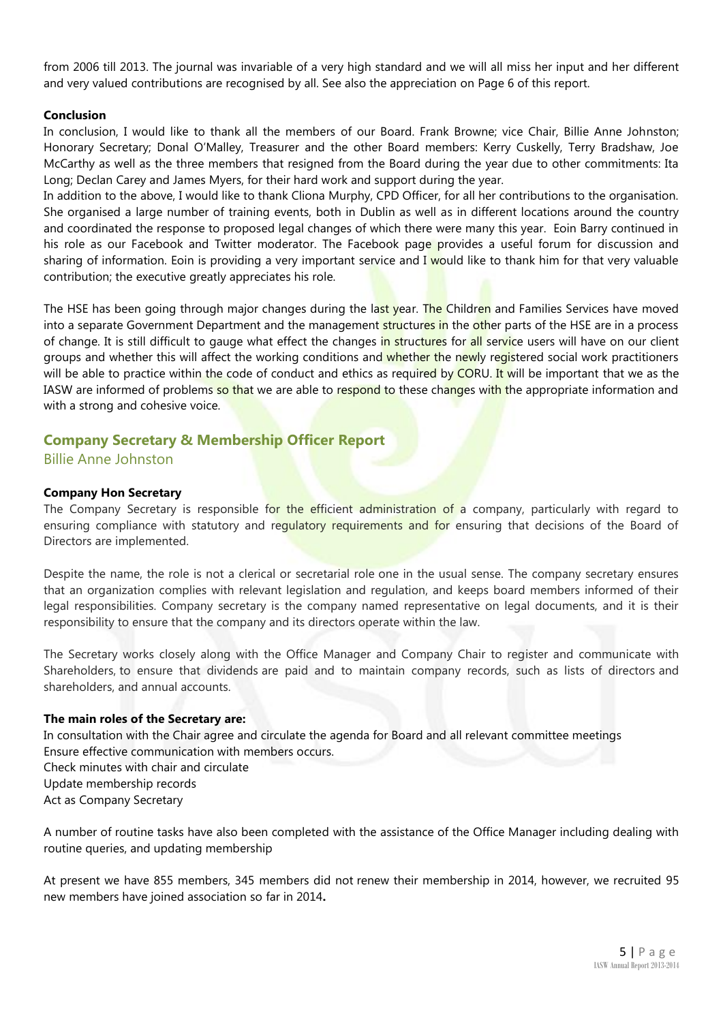from 2006 till 2013. The journal was invariable of a very high standard and we will all miss her input and her different and very valued contributions are recognised by all. See also the appreciation on Page 6 of this report.

#### **Conclusion**

In conclusion, I would like to thank all the members of our Board. Frank Browne; vice Chair, Billie Anne Johnston; Honorary Secretary; Donal O'Malley, Treasurer and the other Board members: Kerry Cuskelly, Terry Bradshaw, Joe McCarthy as well as the three members that resigned from the Board during the year due to other commitments: Ita Long; Declan Carey and James Myers, for their hard work and support during the year.

In addition to the above, I would like to thank Cliona Murphy, CPD Officer, for all her contributions to the organisation. She organised a large number of training events, both in Dublin as well as in different locations around the country and coordinated the response to proposed legal changes of which there were many this year. Eoin Barry continued in his role as our Facebook and Twitter moderator. The Facebook page provides a useful forum for discussion and sharing of information. Eoin is providing a very important service and I would like to thank him for that very valuable contribution; the executive greatly appreciates his role.

The HSE has been going through major changes during the last year. The Children and Families Services have moved into a separate Government Department and the management structures in the other parts of the HSE are in a process of change. It is still difficult to gauge what effect the changes in structures for all service users will have on our client groups and whether this will affect the working conditions and whether the newly registered social work practitioners will be able to practice within the code of conduct and ethics as required by CORU. It will be important that we as the IASW are informed of problems so that we are able to respond to these changes with the appropriate information and with a strong and cohesive voice.

#### **Company Secretary & Membership Officer Report** Billie Anne Johnston

#### **Company Hon Secretary**

The Company Secretary is responsible for the efficient administration of a company, particularly with regard to ensuring compliance with statutory and requiatory requirements and for ensuring that decisions of the Board of Directors are implemented.

Despite the name, the role is not a clerical or secretarial role one in the usual sense. The company secretary ensures that an organization complies with relevant legislation and regulation, and keeps board members informed of their legal responsibilities. Company secretary is the company named representative on legal documents, and it is their responsibility to ensure that the company and its directors operate within the law.

The Secretary works closely along with the Office Manager and Company Chair to register and communicate with Shareholders, to ensure that dividends are paid and to maintain company records, such as lists of directors and shareholders, and annual accounts.

#### **The main roles of the Secretary are:**

In consultation with the Chair agree and circulate the agenda for Board and all relevant committee meetings Ensure effective communication with members occurs. Check minutes with chair and circulate Update membership records Act as Company Secretary

A number of routine tasks have also been completed with the assistance of the Office Manager including dealing with routine queries, and updating membership

At present we have 855 members, 345 members did not renew their membership in 2014, however, we recruited 95 new members have joined association so far in 2014**.**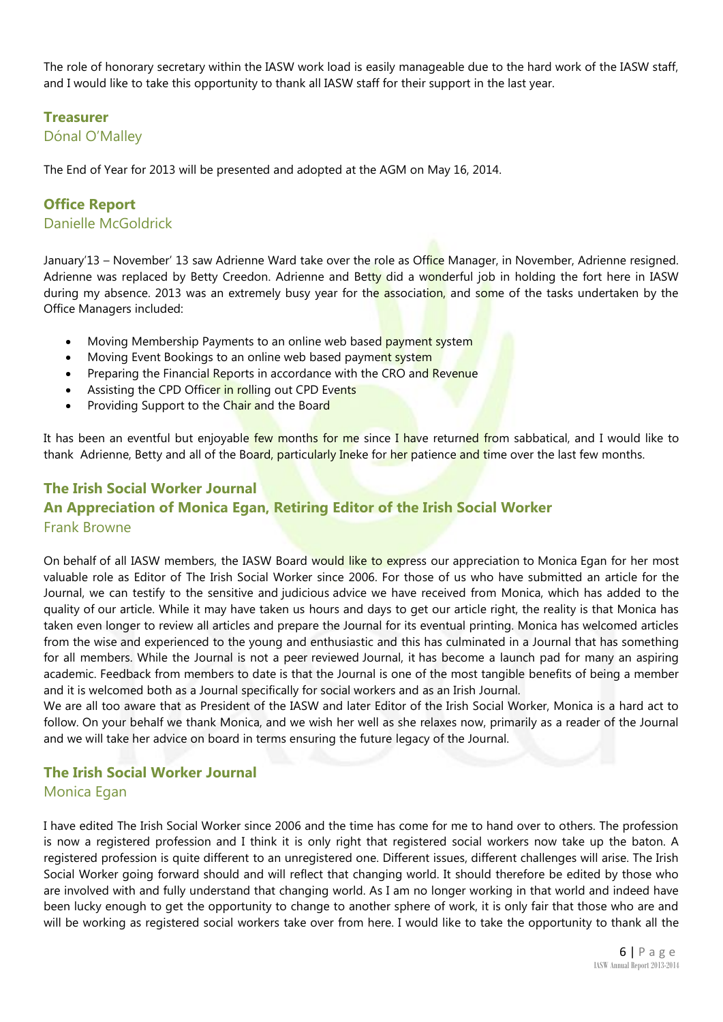The role of honorary secretary within the IASW work load is easily manageable due to the hard work of the IASW staff, and I would like to take this opportunity to thank all IASW staff for their support in the last year.

#### **Treasurer**

#### Dónal O'Malley

The End of Year for 2013 will be presented and adopted at the AGM on May 16, 2014.

#### **Office Report** Danielle McGoldrick

January'13 – November' 13 saw Adrienne Ward take over the role as Office Manager, in November, Adrienne resigned. Adrienne was replaced by Betty Creedon. Adrienne and Betty did a wonderful job in holding the fort here in IASW during my absence. 2013 was an extremely busy year for the association, and some of the tasks undertaken by the Office Managers included:

- Moving Membership Payments to an online web based payment system
- Moving Event Bookings to an online web based payment system
- Preparing the Financial Reports in accordance with the CRO and Revenue
- Assisting the CPD Officer in rolling out CPD Events
- Providing Support to the Chair and the Board

It has been an eventful but enjoyable few months for me since I have returned from sabbatical, and I would like to thank Adrienne, Betty and all of the Board, particularly Ineke for her patience and time over the last few months.

### **The Irish Social Worker Journal An Appreciation of Monica Egan, Retiring Editor of the Irish Social Worker** Frank Browne

On behalf of all IASW members, the IASW Board would like to express our appreciation to Monica Egan for her most valuable role as Editor of The Irish Social Worker since 2006. For those of us who have submitted an article for the Journal, we can testify to the sensitive and judicious advice we have received from Monica, which has added to the quality of our article. While it may have taken us hours and days to get our article right, the reality is that Monica has taken even longer to review all articles and prepare the Journal for its eventual printing. Monica has welcomed articles from the wise and experienced to the young and enthusiastic and this has culminated in a Journal that has something for all members. While the Journal is not a peer reviewed Journal, it has become a launch pad for many an aspiring academic. Feedback from members to date is that the Journal is one of the most tangible benefits of being a member and it is welcomed both as a Journal specifically for social workers and as an Irish Journal.

We are all too aware that as President of the IASW and later Editor of the Irish Social Worker, Monica is a hard act to follow. On your behalf we thank Monica, and we wish her well as she relaxes now, primarily as a reader of the Journal and we will take her advice on board in terms ensuring the future legacy of the Journal.

#### **The Irish Social Worker Journal** Monica Egan

I have edited The Irish Social Worker since 2006 and the time has come for me to hand over to others. The profession is now a registered profession and I think it is only right that registered social workers now take up the baton. A registered profession is quite different to an unregistered one. Different issues, different challenges will arise. The Irish Social Worker going forward should and will reflect that changing world. It should therefore be edited by those who are involved with and fully understand that changing world. As I am no longer working in that world and indeed have been lucky enough to get the opportunity to change to another sphere of work, it is only fair that those who are and will be working as registered social workers take over from here. I would like to take the opportunity to thank all the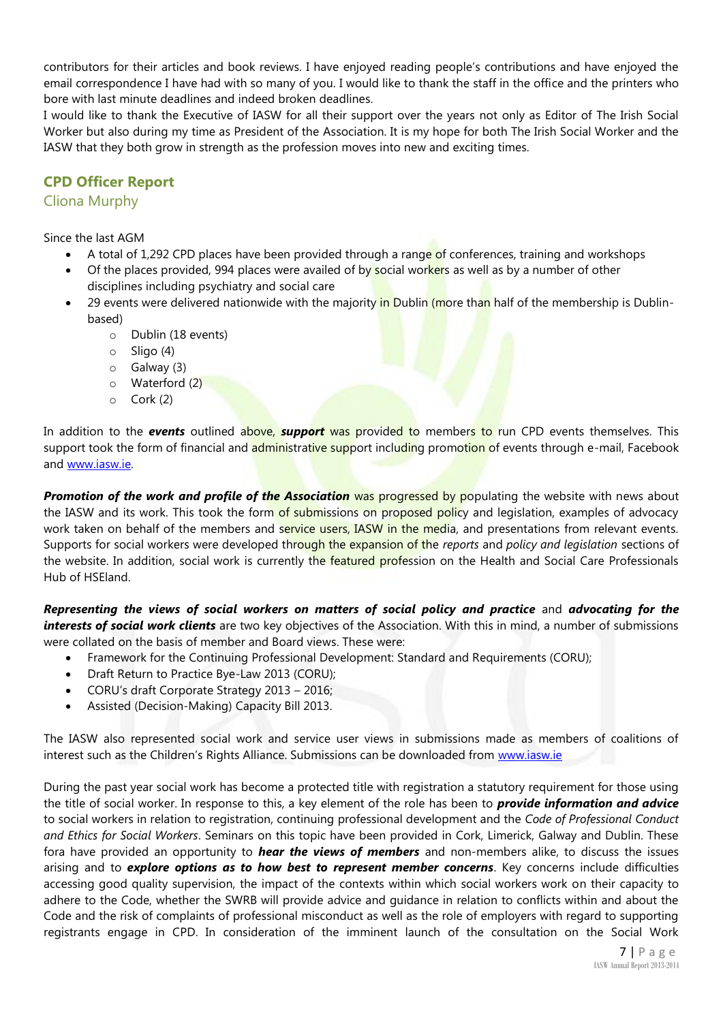contributors for their articles and book reviews. I have enjoyed reading people's contributions and have enjoyed the email correspondence I have had with so many of you. I would like to thank the staff in the office and the printers who bore with last minute deadlines and indeed broken deadlines.

I would like to thank the Executive of IASW for all their support over the years not only as Editor of The Irish Social Worker but also during my time as President of the Association. It is my hope for both The Irish Social Worker and the IASW that they both grow in strength as the profession moves into new and exciting times.

#### **CPD Officer Report**

#### Cliona Murphy

Since the last AGM

- A total of 1,292 CPD places have been provided through a range of conferences, training and workshops
- Of the places provided, 994 places were availed of by social workers as well as by a number of other disciplines including psychiatry and social care
- 29 events were delivered nationwide with the majority in Dublin (more than half of the membership is Dublinbased)
	- o Dublin (18 events)
	- o Sligo (4)
	- o Galway (3)
	- o Waterford (2)
	- o Cork (2)

In addition to the *events* outlined above, *support* was provided to members to run CPD events themselves. This support took the form of financial and administrative support including promotion of events through e-mail, Facebook and [www.iasw.ie.](http://www.iasw.ie/)

**Promotion of the work and profile of the Association** was progressed by populating the website with news about the IASW and its work. This took the form of submissions on proposed policy and legislation, examples of advocacy work taken on behalf of the members and service users, IASW in the media, and presentations from relevant events. Supports for social workers were developed through the expansion of the *reports* and *policy and legislation* sections of the website. In addition, social work is currently the featured profession on the Health and Social Care Professionals Hub of HSEland.

*Representing the views of social workers on matters of social policy and practice* and *advocating for the interests of social work clients* are two key objectives of the Association. With this in mind, a number of submissions were collated on the basis of member and Board views. These were:

- Framework for the Continuing Professional Development: Standard and Requirements (CORU);
- Draft Return to Practice Bye-Law 2013 (CORU);
- CORU's draft Corporate Strategy 2013 2016;
- Assisted (Decision-Making) Capacity Bill 2013.

The IASW also represented social work and service user views in submissions made as members of coalitions of interest such as the Children's Rights Alliance. Submissions can be downloaded from [www.iasw.ie](http://www.iasw.ie/)

During the past year social work has become a protected title with registration a statutory requirement for those using the title of social worker. In response to this, a key element of the role has been to *provide information and advice* to social workers in relation to registration, continuing professional development and the *Code of Professional Conduct and Ethics for Social Workers*. Seminars on this topic have been provided in Cork, Limerick, Galway and Dublin. These fora have provided an opportunity to *hear the views of members* and non-members alike, to discuss the issues arising and to *explore options as to how best to represent member concerns*. Key concerns include difficulties accessing good quality supervision, the impact of the contexts within which social workers work on their capacity to adhere to the Code, whether the SWRB will provide advice and guidance in relation to conflicts within and about the Code and the risk of complaints of professional misconduct as well as the role of employers with regard to supporting registrants engage in CPD. In consideration of the imminent launch of the consultation on the Social Work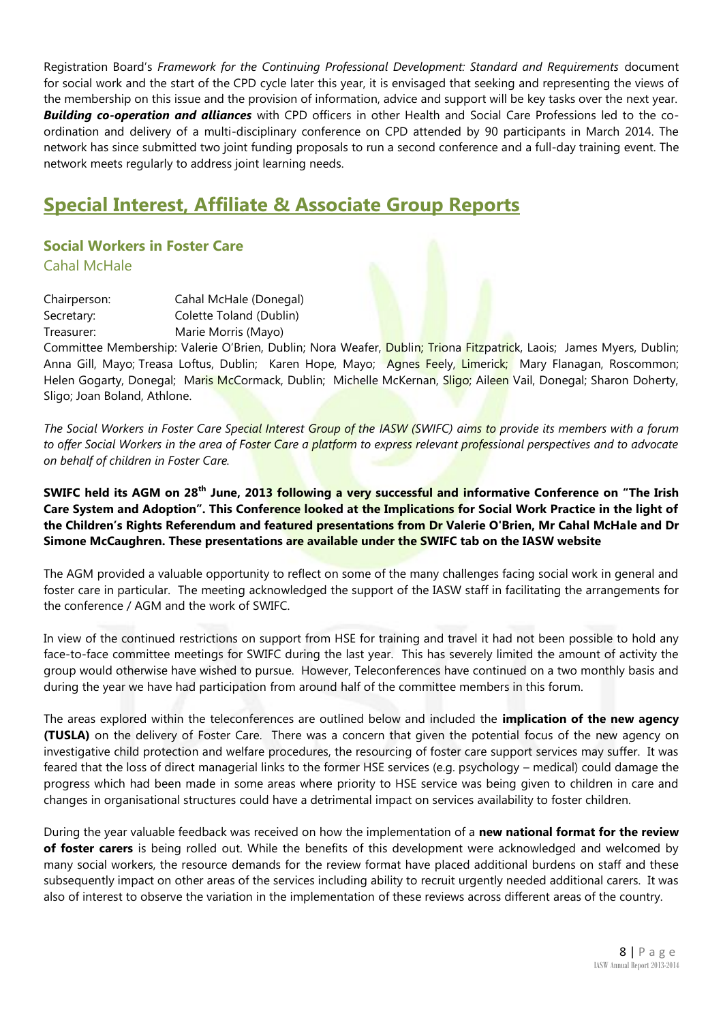Registration Board's *Framework for the Continuing Professional Development: Standard and Requirements* document for social work and the start of the CPD cycle later this year, it is envisaged that seeking and representing the views of the membership on this issue and the provision of information, advice and support will be key tasks over the next year. *Building co-operation and alliances* with CPD officers in other Health and Social Care Professions led to the coordination and delivery of a multi-disciplinary conference on CPD attended by 90 participants in March 2014. The network has since submitted two joint funding proposals to run a second conference and a full-day training event. The network meets regularly to address joint learning needs.

## **Special Interest, Affiliate & Associate Group Reports**

#### **Social Workers in Foster Care** Cahal McHale

Chairperson: Cahal McHale (Donegal) Secretary: Colette Toland (Dublin) Treasurer: Marie Morris (Mayo)

Committee Membership: Valerie O'Brien, Dublin; Nora Weafer, Dublin; Triona Fitzpatrick, Laois; James Myers, Dublin; Anna Gill, Mayo; Treasa Loftus, Dublin; Karen Hope, Mayo; Agnes Feely, Limerick; Mary Flanagan, Roscommon; Helen Gogarty, Donegal; Maris McCormack, Dublin; Michelle McKernan, Sligo; Aileen Vail, Donegal; Sharon Doherty, Sligo; Joan Boland, Athlone.

*The Social Workers in Foster Care Special Interest Group of the IASW (SWIFC) aims to provide its members with a forum to offer Social Workers in the area of Foster Care a platform to express relevant professional perspectives and to advocate on behalf of children in Foster Care.* 

**SWIFC held its AGM on 28th June, 2013 following a very successful and informative Conference on "The Irish Care System and Adoption". This Conference looked at the Implications for Social Work Practice in the light of the Children's Rights Referendum and featured presentations from Dr Valerie O'Brien, Mr Cahal McHale and Dr Simone McCaughren. These presentations are available under the SWIFC tab on the IASW website**

The AGM provided a valuable opportunity to reflect on some of the many challenges facing social work in general and foster care in particular. The meeting acknowledged the support of the IASW staff in facilitating the arrangements for the conference / AGM and the work of SWIFC.

In view of the continued restrictions on support from HSE for training and travel it had not been possible to hold any face-to-face committee meetings for SWIFC during the last year. This has severely limited the amount of activity the group would otherwise have wished to pursue. However, Teleconferences have continued on a two monthly basis and during the year we have had participation from around half of the committee members in this forum.

The areas explored within the teleconferences are outlined below and included the **implication of the new agency (TUSLA)** on the delivery of Foster Care. There was a concern that given the potential focus of the new agency on investigative child protection and welfare procedures, the resourcing of foster care support services may suffer. It was feared that the loss of direct managerial links to the former HSE services (e.g. psychology – medical) could damage the progress which had been made in some areas where priority to HSE service was being given to children in care and changes in organisational structures could have a detrimental impact on services availability to foster children.

During the year valuable feedback was received on how the implementation of a **new national format for the review of foster carers** is being rolled out. While the benefits of this development were acknowledged and welcomed by many social workers, the resource demands for the review format have placed additional burdens on staff and these subsequently impact on other areas of the services including ability to recruit urgently needed additional carers. It was also of interest to observe the variation in the implementation of these reviews across different areas of the country.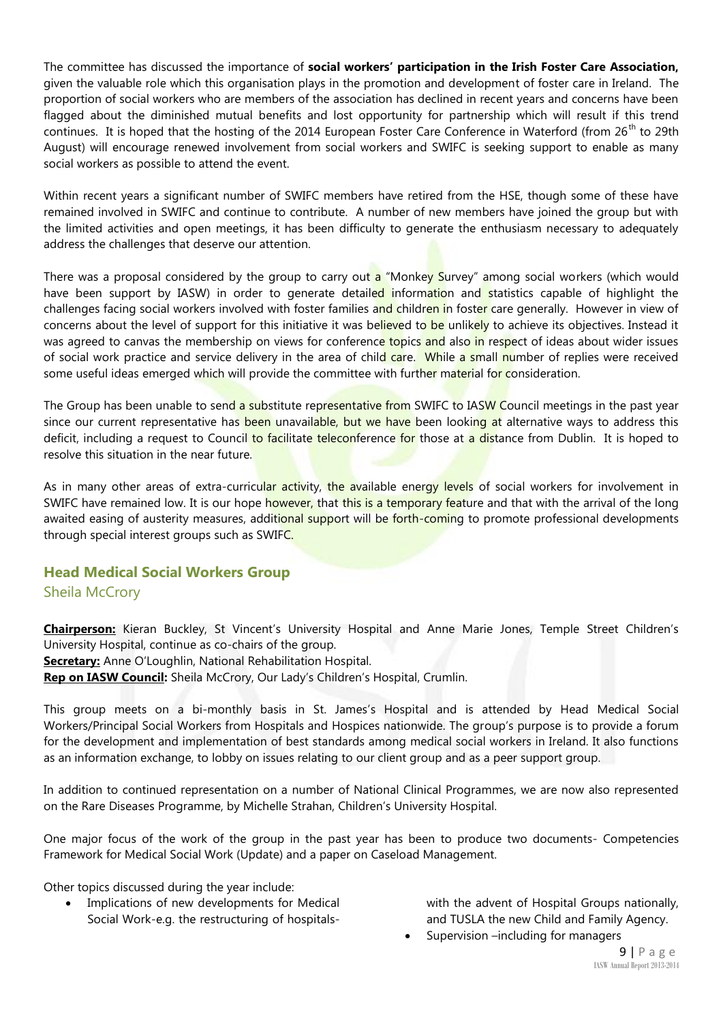The committee has discussed the importance of **social workers' participation in the Irish Foster Care Association,** given the valuable role which this organisation plays in the promotion and development of foster care in Ireland. The proportion of social workers who are members of the association has declined in recent years and concerns have been flagged about the diminished mutual benefits and lost opportunity for partnership which will result if this trend continues. It is hoped that the hosting of the 2014 European Foster Care Conference in Waterford (from  $26<sup>th</sup>$  to 29th August) will encourage renewed involvement from social workers and SWIFC is seeking support to enable as many social workers as possible to attend the event.

Within recent years a significant number of SWIFC members have retired from the HSE, though some of these have remained involved in SWIFC and continue to contribute. A number of new members have joined the group but with the limited activities and open meetings, it has been difficulty to generate the enthusiasm necessary to adequately address the challenges that deserve our attention.

There was a proposal considered by the group to carry out a "Monkey Survey" among social workers (which would have been support by IASW) in order to generate detailed information and statistics capable of highlight the challenges facing social workers involved with foster families and children in foster care generally. However in view of concerns about the level of support for this initiative it was believed to be unlikely to achieve its objectives. Instead it was agreed to canvas the membership on views for conference topics and also in respect of ideas about wider issues of social work practice and service delivery in the area of child care. While a small number of replies were received some useful ideas emerged which will provide the committee with further material for consideration.

The Group has been unable to send a substitute representative from SWIFC to IASW Council meetings in the past year since our current representative has been unavailable, but we have been looking at alternative ways to address this deficit, including a request to Council to facilitate teleconference for those at a distance from Dublin. It is hoped to resolve this situation in the near future.

As in many other areas of extra-curricular activity, the available energy levels of social workers for involvement in SWIFC have remained low. It is our hope however, that this is a temporary feature and that with the arrival of the long awaited easing of austerity measures, additional support will be forth-coming to promote professional developments through special interest groups such as SWIFC.

#### **Head Medical Social Workers Group**

#### Sheila McCrory

**Chairperson:** Kieran Buckley, St Vincent's University Hospital and Anne Marie Jones, Temple Street Children's University Hospital, continue as co-chairs of the group.

**Secretary:** Anne O'Loughlin, National Rehabilitation Hospital.

**Rep on IASW Council:** Sheila McCrory, Our Lady's Children's Hospital, Crumlin.

This group meets on a bi-monthly basis in St. James's Hospital and is attended by Head Medical Social Workers/Principal Social Workers from Hospitals and Hospices nationwide. The group's purpose is to provide a forum for the development and implementation of best standards among medical social workers in Ireland. It also functions as an information exchange, to lobby on issues relating to our client group and as a peer support group.

In addition to continued representation on a number of National Clinical Programmes, we are now also represented on the Rare Diseases Programme, by Michelle Strahan, Children's University Hospital.

One major focus of the work of the group in the past year has been to produce two documents- Competencies Framework for Medical Social Work (Update) and a paper on Caseload Management.

Other topics discussed during the year include:

 Implications of new developments for Medical Social Work-e.g. the restructuring of hospitalswith the advent of Hospital Groups nationally, and TUSLA the new Child and Family Agency.

Supervision –including for managers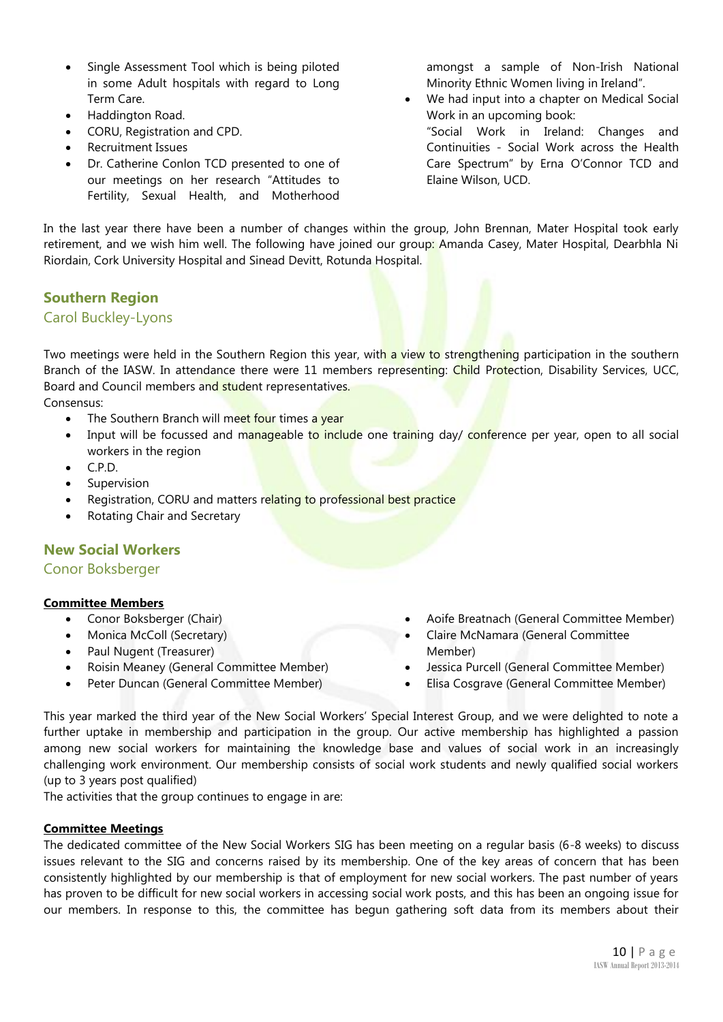- Single Assessment Tool which is being piloted in some Adult hospitals with regard to Long Term Care.
- Haddington Road.
- CORU, Registration and CPD.
- Recruitment Issues
- Dr. Catherine Conlon TCD presented to one of our meetings on her research "Attitudes to Fertility, Sexual Health, and Motherhood

amongst a sample of Non-Irish National Minority Ethnic Women living in Ireland".

 We had input into a chapter on Medical Social Work in an upcoming book:

"Social Work in Ireland: Changes and Continuities - Social Work across the Health Care Spectrum" by Erna O'Connor TCD and Elaine Wilson, UCD.

In the last year there have been a number of changes within the group, John Brennan, Mater Hospital took early retirement, and we wish him well. The following have joined our group: Amanda Casey, Mater Hospital, Dearbhla Ni Riordain, Cork University Hospital and Sinead Devitt, Rotunda Hospital.

#### **Southern Region**

#### Carol Buckley-Lyons

Two meetings were held in the Southern Region this year, with a view to strengthening participation in the southern Branch of the IASW. In attendance there were 11 members representing: Child Protection, Disability Services, UCC, Board and Council members and student representatives.

Consensus:

- The Southern Branch will meet four times a year
- Input will be focussed and manageable to include one training day/ conference per year, open to all social workers in the region
- C.P.D.
- Supervision
- Registration, CORU and matters relating to professional best practice
- Rotating Chair and Secretary

#### **New Social Workers**

Conor Boksberger

#### **Committee Members**

- Conor Boksberger (Chair)
- Monica McColl (Secretary)
- Paul Nugent (Treasurer)
- Roisin Meaney (General Committee Member)
- Peter Duncan (General Committee Member)
- Aoife Breatnach (General Committee Member)
- Claire McNamara (General Committee Member)
- Jessica Purcell (General Committee Member)
- Elisa Cosgrave (General Committee Member)

This year marked the third year of the New Social Workers' Special Interest Group, and we were delighted to note a further uptake in membership and participation in the group. Our active membership has highlighted a passion among new social workers for maintaining the knowledge base and values of social work in an increasingly challenging work environment. Our membership consists of social work students and newly qualified social workers (up to 3 years post qualified)

The activities that the group continues to engage in are:

#### **Committee Meetings**

The dedicated committee of the New Social Workers SIG has been meeting on a regular basis (6-8 weeks) to discuss issues relevant to the SIG and concerns raised by its membership. One of the key areas of concern that has been consistently highlighted by our membership is that of employment for new social workers. The past number of years has proven to be difficult for new social workers in accessing social work posts, and this has been an ongoing issue for our members. In response to this, the committee has begun gathering soft data from its members about their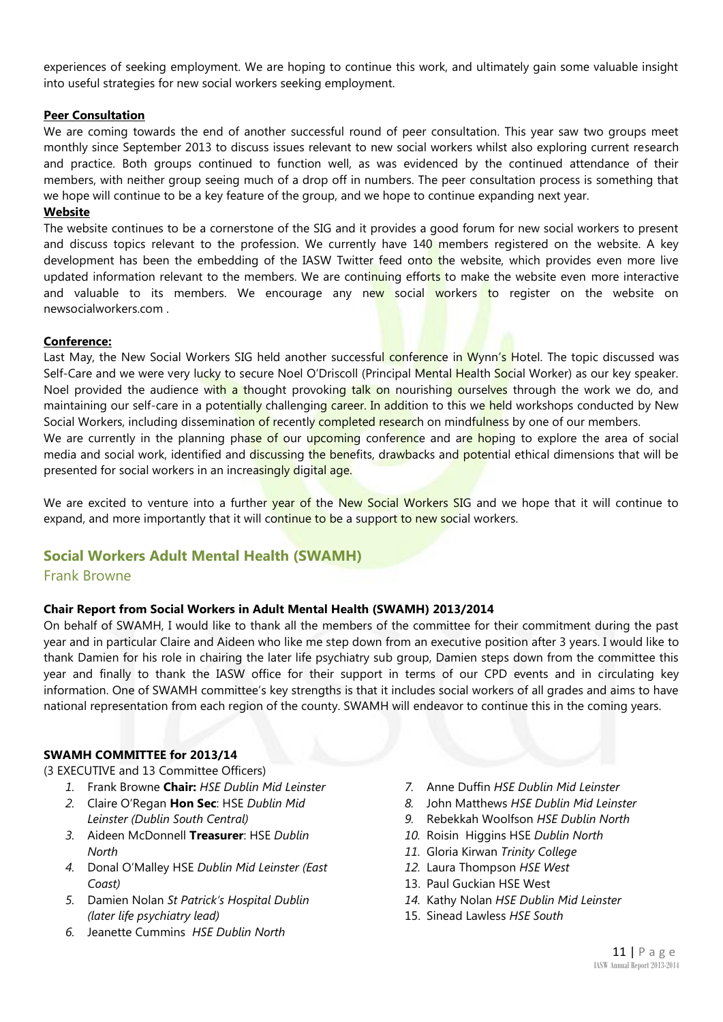experiences of seeking employment. We are hoping to continue this work, and ultimately gain some valuable insight into useful strategies for new social workers seeking employment.

#### **Peer Consultation**

We are coming towards the end of another successful round of peer consultation. This year saw two groups meet monthly since September 2013 to discuss issues relevant to new social workers whilst also exploring current research and practice. Both groups continued to function well, as was evidenced by the continued attendance of their members, with neither group seeing much of a drop off in numbers. The peer consultation process is something that we hope will continue to be a key feature of the group, and we hope to continue expanding next year.

#### **Website**

The website continues to be a cornerstone of the SIG and it provides a good forum for new social workers to present and discuss topics relevant to the profession. We currently have 140 members registered on the website. A key development has been the embedding of the IASW Twitter feed onto the website, which provides even more live updated information relevant to the members. We are continuing efforts to make the website even more interactive and valuable to its members. We encourage any new social workers to register on the website on newsocialworkers.com .

#### **Conference:**

Last May, the New Social Workers SIG held another successful conference in Wynn's Hotel. The topic discussed was Self-Care and we were very lucky to secure Noel O'Driscoll (Principal Mental Health Social Worker) as our key speaker. Noel provided the audience with a thought provoking talk on nourishing ourselves through the work we do, and maintaining our self-care in a potentially challenging career. In addition to this we held workshops conducted by New Social Workers, including dissemination of recently completed research on mindfulness by one of our members.

We are currently in the planning phase of our upcoming conference and are hoping to explore the area of social media and social work, identified and discussing the benefits, drawbacks and potential ethical dimensions that will be presented for social workers in an increasingly digital age.

We are excited to venture into a further year of the New Social Workers SIG and we hope that it will continue to expand, and more importantly that it will continue to be a support to new social workers.

#### **Social Workers Adult Mental Health (SWAMH)**

#### Frank Browne

#### **Chair Report from Social Workers in Adult Mental Health (SWAMH) 2013/2014**

On behalf of SWAMH, I would like to thank all the members of the committee for their commitment during the past year and in particular Claire and Aideen who like me step down from an executive position after 3 years. I would like to thank Damien for his role in chairing the later life psychiatry sub group, Damien steps down from the committee this year and finally to thank the IASW office for their support in terms of our CPD events and in circulating key information. One of SWAMH committee's key strengths is that it includes social workers of all grades and aims to have national representation from each region of the county. SWAMH will endeavor to continue this in the coming years.

#### **SWAMH COMMITTEE for 2013/14**

(3 EXECUTIVE and 13 Committee Officers)

- *1.* Frank Browne **Chair:** *HSE Dublin Mid Leinster*
- *2.* Claire O'Regan **Hon Sec**: HSE *Dublin Mid Leinster (Dublin South Central)*
- *3.* Aideen McDonnell **Treasurer**: HSE *Dublin North*
- *4.* Donal O'Malley HSE *Dublin Mid Leinster (East Coast)*
- *5.* Damien Nolan *St Patrick's Hospital Dublin (later life psychiatry lead)*
- *6.* Jeanette Cummins *HSE Dublin North*
- *7.* Anne Duffin *HSE Dublin Mid Leinster*
- *8.* John Matthews *HSE Dublin Mid Leinster*
- *9.* Rebekkah Woolfson *HSE Dublin North*
- *10.* Roisin Higgins HSE *Dublin North*
- *11.* Gloria Kirwan *Trinity College*
- *12.* Laura Thompson *HSE West*
- 13. Paul Guckian HSE West
- *14.* Kathy Nolan *HSE Dublin Mid Leinster*
- 15. Sinead Lawless *HSE South*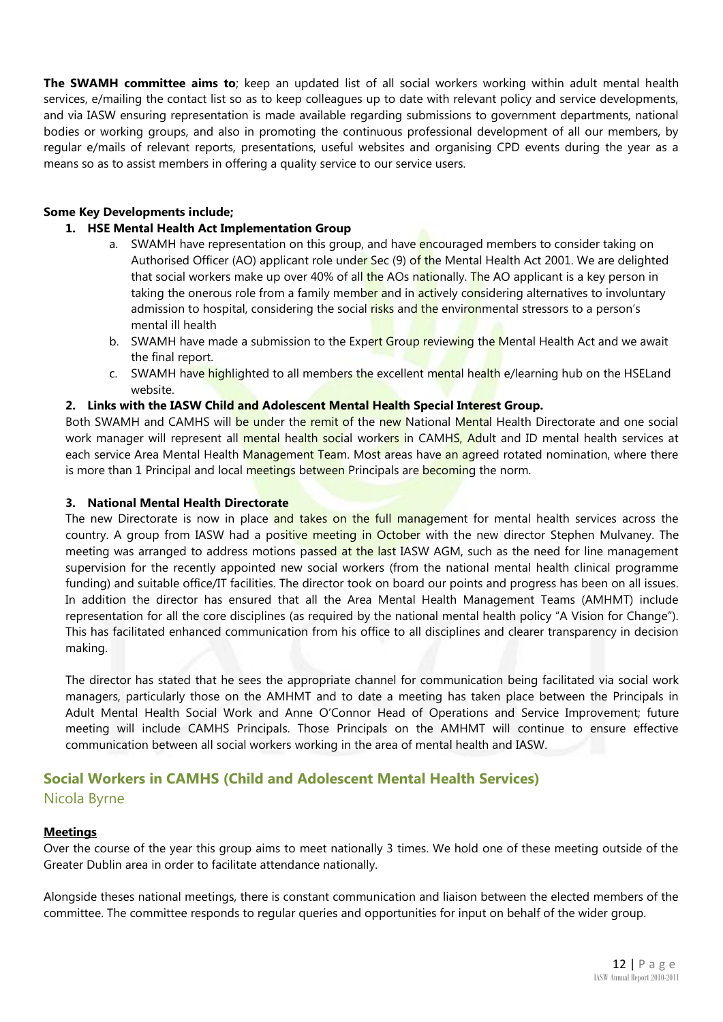**The SWAMH committee aims to**; keep an updated list of all social workers working within adult mental health services, e/mailing the contact list so as to keep colleagues up to date with relevant policy and service developments, and via IASW ensuring representation is made available regarding submissions to government departments, national bodies or working groups, and also in promoting the continuous professional development of all our members, by regular e/mails of relevant reports, presentations, useful websites and organising CPD events during the year as a means so as to assist members in offering a quality service to our service users.

#### **Some Key Developments include;**

#### **1. HSE Mental Health Act Implementation Group**

- a. SWAMH have representation on this group, and have encouraged members to consider taking on Authorised Officer (AO) applicant role under Sec (9) of the Mental Health Act 2001. We are delighted that social workers make up over 40% of all the AOs nationally. The AO applicant is a key person in taking the onerous role from a family member and in actively considering alternatives to involuntary admission to hospital, considering the social risks and the environmental stressors to a person's mental ill health
- b. SWAMH have made a submission to the Expert Group reviewing the Mental Health Act and we await the final report.
- c. SWAMH have highlighted to all members the excellent mental health e/learning hub on the HSELand website.

#### **2. Links with the IASW Child and Adolescent Mental Health Special Interest Group.**

Both SWAMH and CAMHS will be under the remit of the new National Mental Health Directorate and one social work manager will represent all mental health social workers in CAMHS, Adult and ID mental health services at each service Area Mental Health Management Team. Most areas have an agreed rotated nomination, where there is more than 1 Principal and local meetings between Principals are becoming the norm.

#### **3. National Mental Health Directorate**

The new Directorate is now in place and takes on the full management for mental health services across the country. A group from IASW had a positive meeting in October with the new director Stephen Mulvaney. The meeting was arranged to address motions passed at the last IASW AGM, such as the need for line management supervision for the recently appointed new social workers (from the national mental health clinical programme funding) and suitable office/IT facilities. The director took on board our points and progress has been on all issues. In addition the director has ensured that all the Area Mental Health Management Teams (AMHMT) include representation for all the core disciplines (as required by the national mental health policy "A Vision for Change"). This has facilitated enhanced communication from his office to all disciplines and clearer transparency in decision making.

The director has stated that he sees the appropriate channel for communication being facilitated via social work managers, particularly those on the AMHMT and to date a meeting has taken place between the Principals in Adult Mental Health Social Work and Anne O'Connor Head of Operations and Service Improvement; future meeting will include CAMHS Principals. Those Principals on the AMHMT will continue to ensure effective communication between all social workers working in the area of mental health and IASW.

#### **Social Workers in CAMHS (Child and Adolescent Mental Health Services)** Nicola Byrne

#### **Meetings**

Over the course of the year this group aims to meet nationally 3 times. We hold one of these meeting outside of the Greater Dublin area in order to facilitate attendance nationally.

Alongside theses national meetings, there is constant communication and liaison between the elected members of the committee. The committee responds to regular queries and opportunities for input on behalf of the wider group.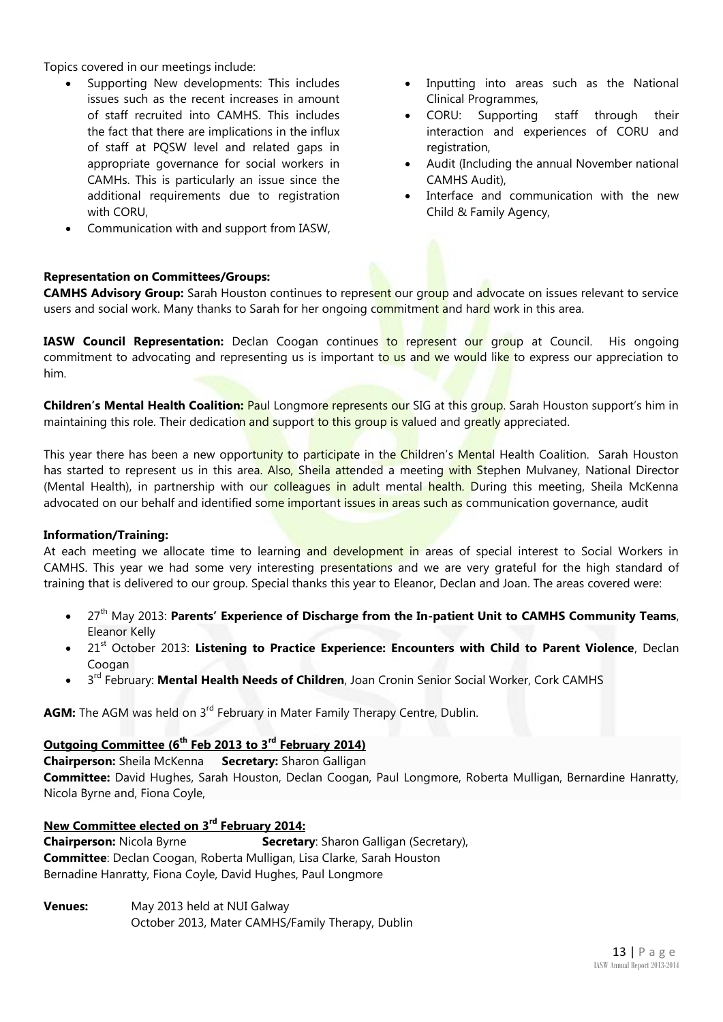Topics covered in our meetings include:

- Supporting New developments: This includes issues such as the recent increases in amount of staff recruited into CAMHS. This includes the fact that there are implications in the influx of staff at PQSW level and related gaps in appropriate governance for social workers in CAMHs. This is particularly an issue since the additional requirements due to registration with CORU,
- Communication with and support from IASW,

#### Inputting into areas such as the National Clinical Programmes,

- CORU: Supporting staff through their interaction and experiences of CORU and registration,
- Audit (Including the annual November national CAMHS Audit),
- Interface and communication with the new Child & Family Agency,

#### **Representation on Committees/Groups:**

**CAMHS Advisory Group:** Sarah Houston continues to represent our group and advocate on issues relevant to service users and social work. Many thanks to Sarah for her ongoing commitment and hard work in this area.

IASW Council Representation: Declan Coogan continues to represent our group at Council. His ongoing commitment to advocating and representing us is important to us and we would like to express our appreciation to him.

**Children's Mental Health Coalition:** Paul Longmore represents our SIG at this group. Sarah Houston support's him in maintaining this role. Their dedication and support to this group is valued and greatly appreciated.

This year there has been a new opportunity to participate in the Children's Mental Health Coalition. Sarah Houston has started to represent us in this area. Also, Sheila attended a meeting with Stephen Mulvaney, National Director (Mental Health), in partnership with our colleagues in adult mental health. During this meeting, Sheila McKenna advocated on our behalf and identified some important issues in areas such as communication governance, audit

#### **Information/Training:**

At each meeting we allocate time to learning and development in areas of special interest to Social Workers in CAMHS. This year we had some very interesting presentations and we are very grateful for the high standard of training that is delivered to our group. Special thanks this year to Eleanor, Declan and Joan. The areas covered were:

- 27<sup>th</sup> May 2013: Parents' Experience of Discharge from the In-patient Unit to CAMHS Community Teams, Eleanor Kelly
- 21<sup>st</sup> October 2013: Listening to Practice Experience: Encounters with Child to Parent Violence, Declan Coogan
- 3 rd February: **Mental Health Needs of Children**, Joan Cronin Senior Social Worker, Cork CAMHS

**AGM:** The AGM was held on 3<sup>rd</sup> February in Mater Family Therapy Centre, Dublin.

#### **Outgoing Committee (6th Feb 2013 to 3rd February 2014)**

**Chairperson:** Sheila McKenna **Secretary:** Sharon Galligan

**Committee:** David Hughes, Sarah Houston, Declan Coogan, Paul Longmore, Roberta Mulligan, Bernardine Hanratty, Nicola Byrne and, Fiona Coyle,

#### **New Committee elected on 3rd February 2014:**

**Chairperson:** Nicola Byrne **Secretary**: Sharon Galligan (Secretary), **Committee**: Declan Coogan, Roberta Mulligan, Lisa Clarke, Sarah Houston Bernadine Hanratty, Fiona Coyle, David Hughes, Paul Longmore

**Venues:** May 2013 held at NUI Galway October 2013, Mater CAMHS/Family Therapy, Dublin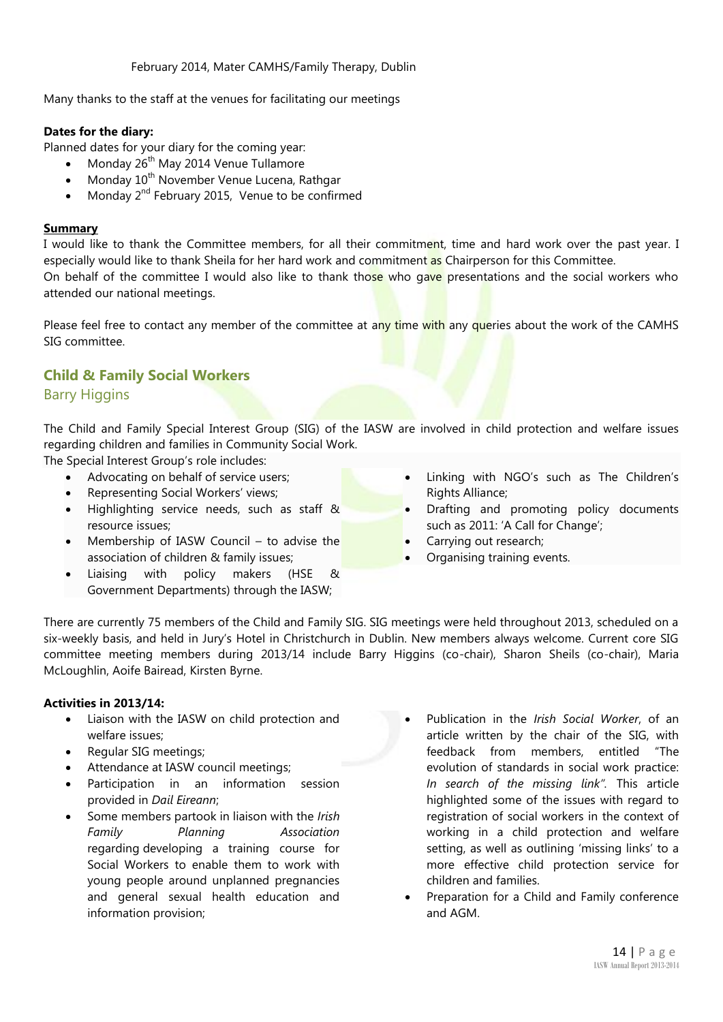February 2014, Mater CAMHS/Family Therapy, Dublin

Many thanks to the staff at the venues for facilitating our meetings

#### **Dates for the diary:**

Planned dates for your diary for the coming year:

- Monday 26<sup>th</sup> May 2014 Venue Tullamore
- Monday 10<sup>th</sup> November Venue Lucena, Rathgar
- Monday 2<sup>nd</sup> February 2015, Venue to be confirmed

#### **Summary**

I would like to thank the Committee members, for all their commitment, time and hard work over the past year. I especially would like to thank Sheila for her hard work and commitment as Chairperson for this Committee. On behalf of the committee I would also like to thank those who gave presentations and the social workers who attended our national meetings.

Please feel free to contact any member of the committee at any time with any queries about the work of the CAMHS SIG committee.

## **Child & Family Social Workers**

#### Barry Higgins

The Child and Family Special Interest Group (SIG) of the IASW are involved in child protection and welfare issues regarding children and families in Community Social Work.

The Special Interest Group's role includes:

- Advocating on behalf of service users;
- Representing Social Workers' views;
- Highlighting service needs, such as staff & resource issues;
- Membership of IASW Council to advise the association of children & family issues;
- Liaising with policy makers (HSE & Government Departments) through the IASW;
- Linking with NGO's such as The Children's Rights Alliance;
- Drafting and promoting policy documents such as 2011: 'A Call for Change';
- Carrying out research;
- Organising training events.

There are currently 75 members of the Child and Family SIG. SIG meetings were held throughout 2013, scheduled on a six-weekly basis, and held in Jury's Hotel in Christchurch in Dublin. New members always welcome. Current core SIG committee meeting members during 2013/14 include Barry Higgins (co-chair), Sharon Sheils (co-chair), Maria McLoughlin, Aoife Bairead, Kirsten Byrne.

#### **Activities in 2013/14:**

- Liaison with the IASW on child protection and welfare issues;
- Regular SIG meetings;
- Attendance at IASW council meetings;
- Participation in an information session provided in *Dail Eireann*;
- Some members partook in liaison with the *Irish Family Planning Association* regarding developing a training course for Social Workers to enable them to work with young people around unplanned pregnancies and general sexual health education and information provision;
- Publication in the *Irish Social Worker*, of an article written by the chair of the SIG, with feedback from members, entitled "The evolution of standards in social work practice: *In search of the missing link".* This article highlighted some of the issues with regard to registration of social workers in the context of working in a child protection and welfare setting, as well as outlining 'missing links' to a more effective child protection service for children and families.
- Preparation for a Child and Family conference and AGM.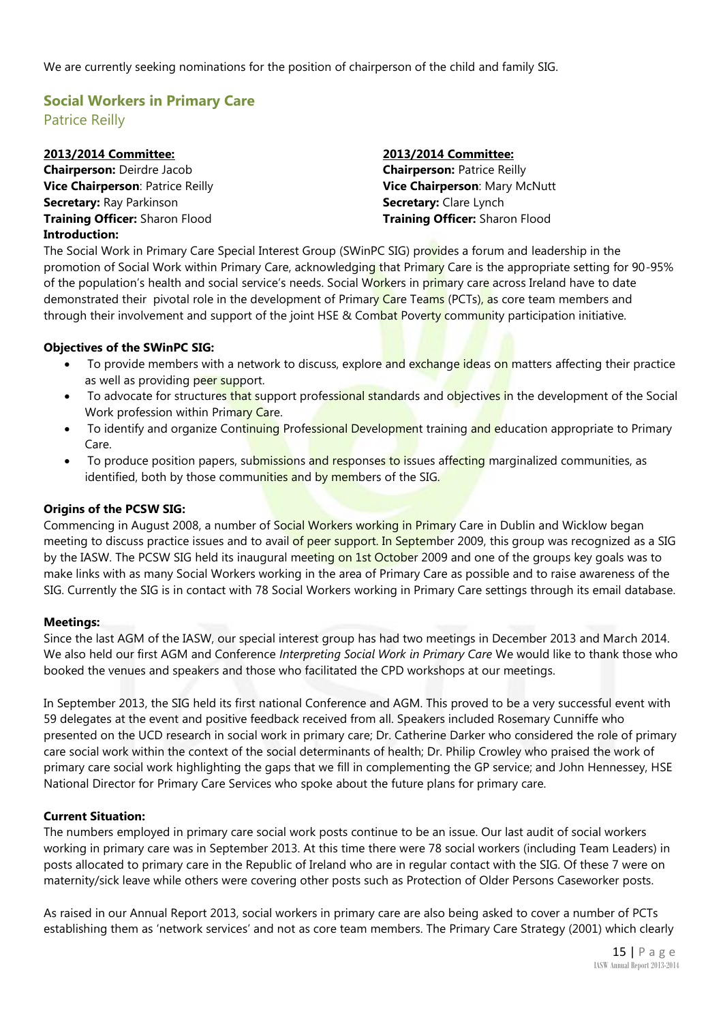We are currently seeking nominations for the position of chairperson of the child and family SIG.

## **Social Workers in Primary Care** Patrice Reilly

| 2013/2014 Committee:                  | 2013/2014 Committee:                  |
|---------------------------------------|---------------------------------------|
| <b>Chairperson: Deirdre Jacob</b>     | <b>Chairperson: Patrice Reilly</b>    |
| Vice Chairperson: Patrice Reilly      | Vice Chairperson: Mary McNutt         |
| <b>Secretary: Ray Parkinson</b>       | <b>Secretary: Clare Lynch</b>         |
| <b>Training Officer: Sharon Flood</b> | <b>Training Officer: Sharon Flood</b> |
| <b>Introduction:</b>                  |                                       |

The Social Work in Primary Care Special Interest Group (SWinPC SIG) provides a forum and leadership in the promotion of Social Work within Primary Care, acknowledging that Primary Care is the appropriate setting for 90-95% of the population's health and social service's needs. Social Workers in primary care across Ireland have to date demonstrated their pivotal role in the development of Primary Care Teams (PCTs), as core team members and through their involvement and support of the joint HSE & Combat Poverty community participation initiative.

#### **Objectives of the SWinPC SIG:**

- To provide members with a network to discuss, explore and exchange ideas on matters affecting their practice as well as providing peer support.
- To advocate for structures that support professional standards and objectives in the development of the Social Work profession within Primary Care.
- To identify and organize Continuing Professional Development training and education appropriate to Primary Care.
- To produce position papers, submissions and responses to issues affecting marginalized communities, as identified, both by those communities and by members of the SIG.

#### **Origins of the PCSW SIG:**

Commencing in August 2008, a number of Social Workers working in Primary Care in Dublin and Wicklow began meeting to discuss practice issues and to avail of peer support. In September 2009, this group was recognized as a SIG by the IASW. The PCSW SIG held its inaugural meeting on 1st October 2009 and one of the groups key goals was to make links with as many Social Workers working in the area of Primary Care as possible and to raise awareness of the SIG. Currently the SIG is in contact with 78 Social Workers working in Primary Care settings through its email database.

#### **Meetings:**

Since the last AGM of the IASW, our special interest group has had two meetings in December 2013 and March 2014. We also held our first AGM and Conference *Interpreting Social Work in Primary Care* We would like to thank those who booked the venues and speakers and those who facilitated the CPD workshops at our meetings.

In September 2013, the SIG held its first national Conference and AGM. This proved to be a very successful event with 59 delegates at the event and positive feedback received from all. Speakers included Rosemary Cunniffe who presented on the UCD research in social work in primary care; Dr. Catherine Darker who considered the role of primary care social work within the context of the social determinants of health; Dr. Philip Crowley who praised the work of primary care social work highlighting the gaps that we fill in complementing the GP service; and John Hennessey, HSE National Director for Primary Care Services who spoke about the future plans for primary care.

#### **Current Situation:**

The numbers employed in primary care social work posts continue to be an issue. Our last audit of social workers working in primary care was in September 2013. At this time there were 78 social workers (including Team Leaders) in posts allocated to primary care in the Republic of Ireland who are in regular contact with the SIG. Of these 7 were on maternity/sick leave while others were covering other posts such as Protection of Older Persons Caseworker posts.

As raised in our Annual Report 2013, social workers in primary care are also being asked to cover a number of PCTs establishing them as 'network services' and not as core team members. The Primary Care Strategy (2001) which clearly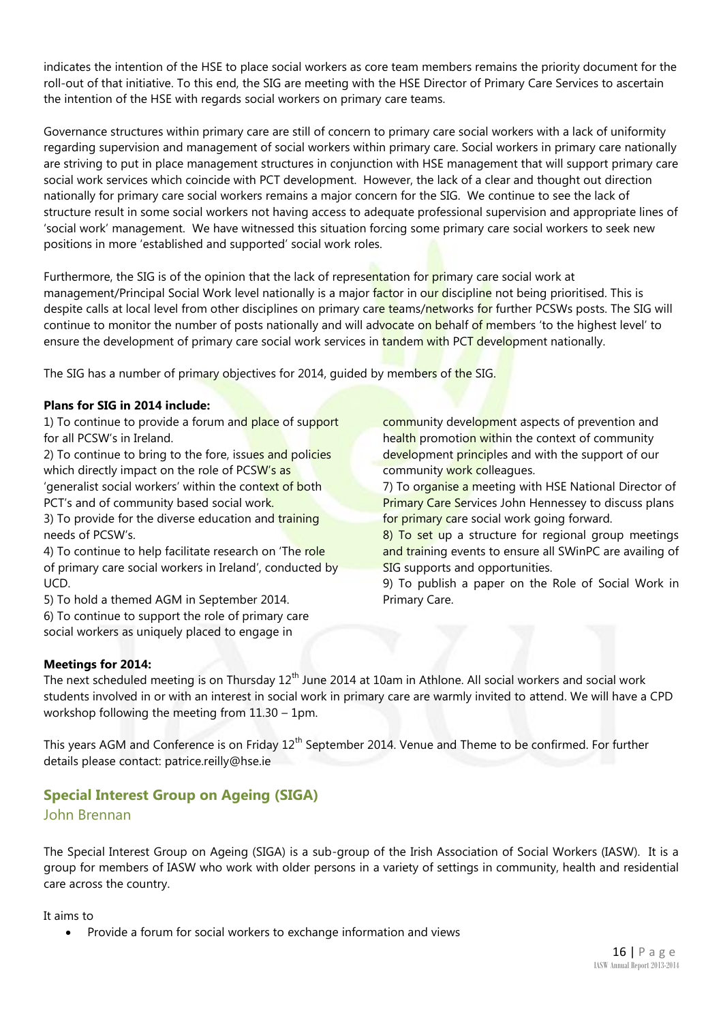indicates the intention of the HSE to place social workers as core team members remains the priority document for the roll-out of that initiative. To this end, the SIG are meeting with the HSE Director of Primary Care Services to ascertain the intention of the HSE with regards social workers on primary care teams.

Governance structures within primary care are still of concern to primary care social workers with a lack of uniformity regarding supervision and management of social workers within primary care. Social workers in primary care nationally are striving to put in place management structures in conjunction with HSE management that will support primary care social work services which coincide with PCT development. However, the lack of a clear and thought out direction nationally for primary care social workers remains a major concern for the SIG. We continue to see the lack of structure result in some social workers not having access to adequate professional supervision and appropriate lines of 'social work' management. We have witnessed this situation forcing some primary care social workers to seek new positions in more 'established and supported' social work roles.

Furthermore, the SIG is of the opinion that the lack of representation for primary care social work at management/Principal Social Work level nationally is a major factor in our discipline not being prioritised. This is despite calls at local level from other disciplines on primary care teams/networks for further PCSWs posts. The SIG will continue to monitor the number of posts nationally and will advocate on behalf of members 'to the highest level' to ensure the development of primary care social work services in tandem with PCT development nationally.

The SIG has a number of primary objectives for 2014, quided by members of the SIG.

#### **Plans for SIG in 2014 include:**

1) To continue to provide a forum and place of support for all PCSW's in Ireland.

2) To continue to bring to the fore, issues and policies which directly impact on the role of PCSW's as 'generalist social workers' within the context of both PCT's and of community based social work.

3) To provide for the diverse education and training needs of PCSW's.

4) To continue to help facilitate research on 'The role of primary care social workers in Ireland', conducted by UCD.

5) To hold a themed AGM in September 2014.

6) To continue to support the role of primary care social workers as uniquely placed to engage in

community development aspects of prevention and health promotion within the context of community development principles and with the support of our community work colleagues.

7) To organise a meeting with HSE National Director of **Primary Care Services John Hennessey to discuss plans** for primary care social work going forward.

8) To set up a structure for regional group meetings and training events to ensure all SWinPC are availing of SIG supports and opportunities.

9) To publish a paper on the Role of Social Work in Primary Care.

#### **Meetings for 2014:**

The next scheduled meeting is on Thursday  $12<sup>th</sup>$  June 2014 at 10am in Athlone. All social workers and social work students involved in or with an interest in social work in primary care are warmly invited to attend. We will have a CPD workshop following the meeting from 11.30 – 1pm.

This years AGM and Conference is on Friday 12<sup>th</sup> September 2014. Venue and Theme to be confirmed. For further details please contact: [patrice.reilly@hse.ie](mailto:patrice.reilly@hse.ie)

#### **Special Interest Group on Ageing (SIGA)**

#### John Brennan

The Special Interest Group on Ageing (SIGA) is a sub-group of the Irish Association of Social Workers (IASW). It is a group for members of IASW who work with older persons in a variety of settings in community, health and residential care across the country.

It aims to

Provide a forum for social workers to exchange information and views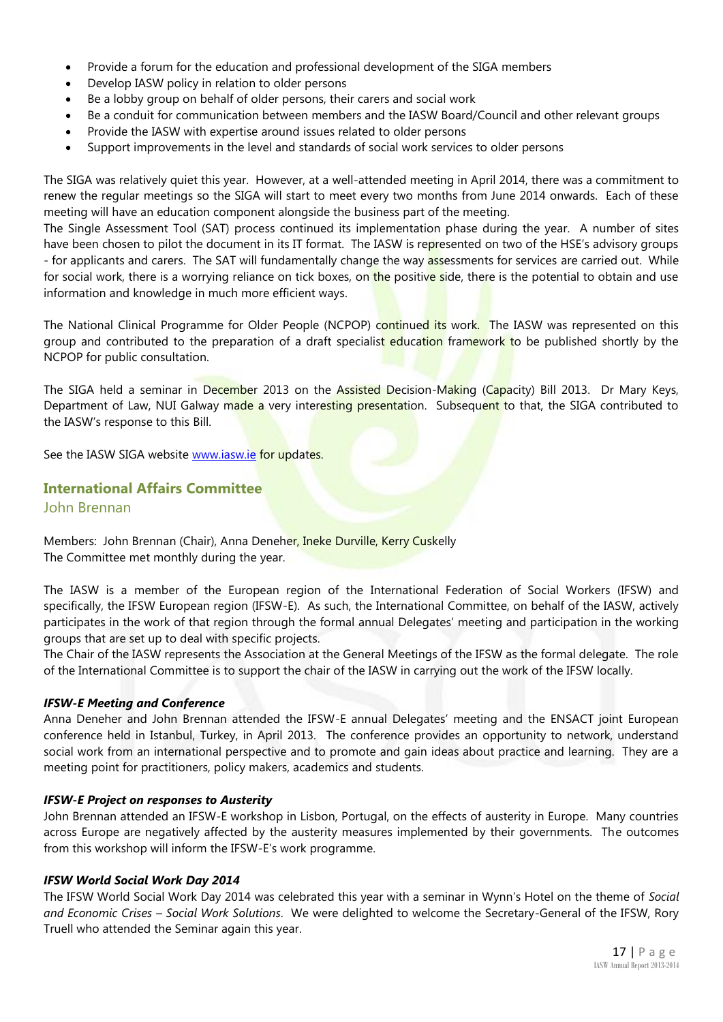- Provide a forum for the education and professional development of the SIGA members
- Develop IASW policy in relation to older persons
- Be a lobby group on behalf of older persons, their carers and social work
- Be a conduit for communication between members and the IASW Board/Council and other relevant groups
- Provide the IASW with expertise around issues related to older persons
- Support improvements in the level and standards of social work services to older persons

The SIGA was relatively quiet this year. However, at a well-attended meeting in April 2014, there was a commitment to renew the regular meetings so the SIGA will start to meet every two months from June 2014 onwards. Each of these meeting will have an education component alongside the business part of the meeting.

The Single Assessment Tool (SAT) process continued its implementation phase during the year. A number of sites have been chosen to pilot the document in its IT format. The IASW is represented on two of the HSE's advisory groups - for applicants and carers. The SAT will fundamentally change the way assessments for services are carried out. While for social work, there is a worrying reliance on tick boxes, on the positive side, there is the potential to obtain and use information and knowledge in much more efficient ways.

The National Clinical Programme for Older People (NCPOP) continued its work. The IASW was represented on this group and contributed to the preparation of a draft specialist education framework to be published shortly by the NCPOP for public consultation.

The SIGA held a seminar in December 2013 on the Assisted Decision-Making (Capacity) Bill 2013. Dr Mary Keys, Department of Law, NUI Galway made a very interesting presentation. Subsequent to that, the SIGA contributed to the IASW's response to this Bill.

See the IASW SIGA website [www.iasw.ie](http://www.iasw.ie/) for updates.

#### **International Affairs Committee**

John Brennan

Members: John Brennan (Chair), Anna Deneher, Ineke Durville, Kerry Cuskelly The Committee met monthly during the year.

The IASW is a member of the European region of the International Federation of Social Workers (IFSW) and specifically, the IFSW European region (IFSW-E). As such, the International Committee, on behalf of the IASW, actively participates in the work of that region through the formal annual Delegates' meeting and participation in the working groups that are set up to deal with specific projects.

The Chair of the IASW represents the Association at the General Meetings of the IFSW as the formal delegate. The role of the International Committee is to support the chair of the IASW in carrying out the work of the IFSW locally.

#### *IFSW-E Meeting and Conference*

Anna Deneher and John Brennan attended the IFSW-E annual Delegates' meeting and the ENSACT joint European conference held in Istanbul, Turkey, in April 2013. The conference provides an opportunity to network, understand social work from an international perspective and to promote and gain ideas about practice and learning. They are a meeting point for practitioners, policy makers, academics and students.

#### *IFSW-E Project on responses to Austerity*

John Brennan attended an IFSW-E workshop in Lisbon, Portugal, on the effects of austerity in Europe. Many countries across Europe are negatively affected by the austerity measures implemented by their governments. The outcomes from this workshop will inform the IFSW-E's work programme.

#### *IFSW World Social Work Day 2014*

The IFSW World Social Work Day 2014 was celebrated this year with a seminar in Wynn's Hotel on the theme of *Social and Economic Crises – Social Work Solutions*. We were delighted to welcome the Secretary-General of the IFSW, Rory Truell who attended the Seminar again this year.